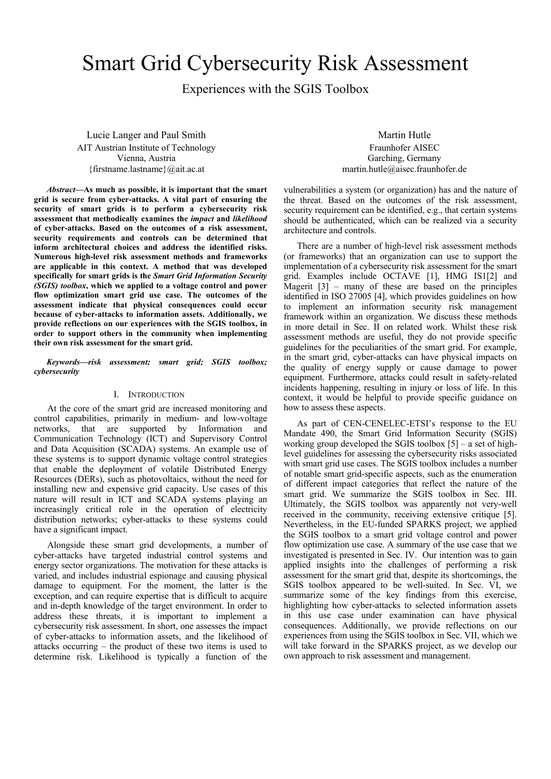# Smart Grid Cybersecurity Risk Assessment

Experiences with the SGIS Toolbox

Lucie Langer and Paul Smith AIT Austrian Institute of Technology Vienna, Austria {firstname.lastname}@ait.ac.at

*Abstract***—As much as possible, it is important that the smart grid is secure from cyber-attacks. A vital part of ensuring the security of smart grids is to perform a cybersecurity risk assessment that methodically examines the** *impact* **and** *likelihood* **of cyber-attacks. Based on the outcomes of a risk assessment, security requirements and controls can be determined that inform architectural choices and address the identified risks. Numerous high-level risk assessment methods and frameworks are applicable in this context. A method that was developed specifically for smart grids is the** *Smart Grid Information Security (SGIS) toolbox***, which we applied to a voltage control and power flow optimization smart grid use case. The outcomes of the assessment indicate that physical consequences could occur because of cyber-attacks to information assets. Additionally, we provide reflections on our experiences with the SGIS toolbox, in order to support others in the community when implementing their own risk assessment for the smart grid.** 

*Keywords—risk assessment; smart grid; SGIS toolbox; cybersecurity* 

#### I. INTRODUCTION

At the core of the smart grid are increased monitoring and control capabilities, primarily in medium- and low-voltage networks, that are supported by Information and Communication Technology (ICT) and Supervisory Control and Data Acquisition (SCADA) systems. An example use of these systems is to support dynamic voltage control strategies that enable the deployment of volatile Distributed Energy Resources (DERs), such as photovoltaics, without the need for installing new and expensive grid capacity. Use cases of this nature will result in ICT and SCADA systems playing an increasingly critical role in the operation of electricity distribution networks; cyber-attacks to these systems could have a significant impact.

Alongside these smart grid developments, a number of cyber-attacks have targeted industrial control systems and energy sector organizations. The motivation for these attacks is varied, and includes industrial espionage and causing physical damage to equipment. For the moment, the latter is the exception, and can require expertise that is difficult to acquire and in-depth knowledge of the target environment. In order to address these threats, it is important to implement a cybersecurity risk assessment. In short, one assesses the impact of cyber-attacks to information assets, and the likelihood of attacks occurring – the product of these two items is used to determine risk. Likelihood is typically a function of the

Martin Hutle Fraunhofer AISEC Garching, Germany martin.hutle@aisec.fraunhofer.de

vulnerabilities a system (or organization) has and the nature of the threat. Based on the outcomes of the risk assessment, security requirement can be identified, e.g., that certain systems should be authenticated, which can be realized via a security architecture and controls.

There are a number of high-level risk assessment methods (or frameworks) that an organization can use to support the implementation of a cybersecurity risk assessment for the smart grid. Examples include OCTAVE [1], HMG IS1[2] and Magerit  $\begin{bmatrix} 3 \end{bmatrix}$  – many of these are based on the principles identified in ISO 27005 [4], which provides guidelines on how to implement an information security risk management framework within an organization. We discuss these methods in more detail in Sec. II on related work. Whilst these risk assessment methods are useful, they do not provide specific guidelines for the peculiarities of the smart grid. For example, in the smart grid, cyber-attacks can have physical impacts on the quality of energy supply or cause damage to power equipment. Furthermore, attacks could result in safety-related incidents happening, resulting in injury or loss of life. In this context, it would be helpful to provide specific guidance on how to assess these aspects.

As part of CEN-CENELEC-ETSI's response to the EU Mandate 490, the Smart Grid Information Security (SGIS) working group developed the SGIS toolbox [5] – a set of highlevel guidelines for assessing the cybersecurity risks associated with smart grid use cases. The SGIS toolbox includes a number of notable smart grid-specific aspects, such as the enumeration of different impact categories that reflect the nature of the smart grid. We summarize the SGIS toolbox in Sec. III. Ultimately, the SGIS toolbox was apparently not very-well received in the community, receiving extensive critique [5]. Nevertheless, in the EU-funded SPARKS project, we applied the SGIS toolbox to a smart grid voltage control and power flow optimization use case. A summary of the use case that we investigated is presented in Sec. IV. Our intention was to gain applied insights into the challenges of performing a risk assessment for the smart grid that, despite its shortcomings, the SGIS toolbox appeared to be well-suited. In Sec. VI, we summarize some of the key findings from this exercise. highlighting how cyber-attacks to selected information assets in this use case under examination can have physical consequences. Additionally, we provide reflections on our experiences from using the SGIS toolbox in Sec. VII, which we will take forward in the SPARKS project, as we develop our own approach to risk assessment and management.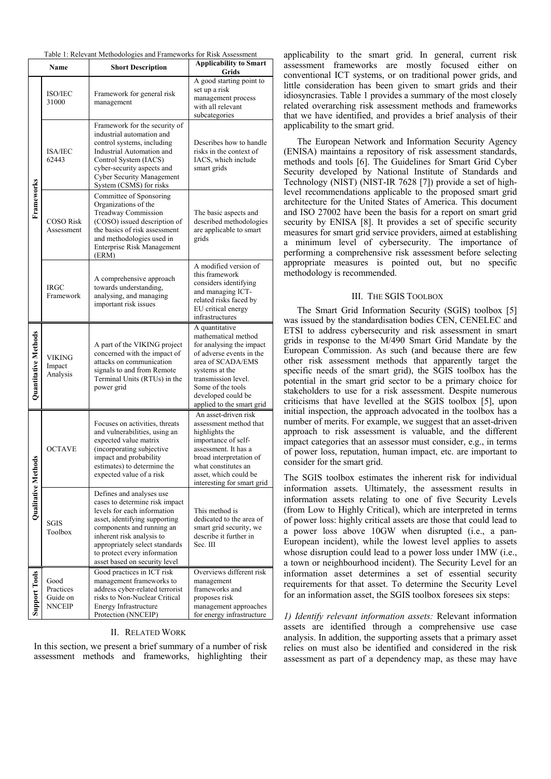| Table 1: Relevant Methodologies and Frameworks for Risk Assessment |  |
|--------------------------------------------------------------------|--|
|--------------------------------------------------------------------|--|

|                        | Name                                           | <b>Short Description</b>                                                                                                                                                                                                                                                                | <b>Applicability to Smart</b><br>Grids                                                                                                                                                                                              |
|------------------------|------------------------------------------------|-----------------------------------------------------------------------------------------------------------------------------------------------------------------------------------------------------------------------------------------------------------------------------------------|-------------------------------------------------------------------------------------------------------------------------------------------------------------------------------------------------------------------------------------|
|                        | <b>ISO/IEC</b><br>31000                        | Framework for general risk<br>management                                                                                                                                                                                                                                                | A good starting point to<br>set up a risk<br>management process<br>with all relevant<br>subcategories                                                                                                                               |
|                        | <b>ISA/IEC</b><br>62443                        | Framework for the security of<br>industrial automation and<br>control systems, including<br>Industrial Automation and<br>Control System (IACS)<br>cyber-security aspects and<br><b>Cyber Security Management</b><br>System (CSMS) for risks                                             | Describes how to handle<br>risks in the context of<br>IACS, which include<br>smart grids                                                                                                                                            |
| Frameworks             | COSO Risk<br>Assessment                        | Committee of Sponsoring<br>Organizations of the<br>Treadway Commission<br>(COSO) issued description of<br>the basics of risk assessment<br>and methodologies used in<br>Enterprise Risk Management<br>(ERM)                                                                             | The basic aspects and<br>described methodologies<br>are applicable to smart<br>grids                                                                                                                                                |
|                        | <b>IRGC</b><br>Framework                       | A comprehensive approach<br>towards understanding,<br>analysing, and managing<br>important risk issues                                                                                                                                                                                  | A modified version of<br>this framework<br>considers identifying<br>and managing ICT-<br>related risks faced by<br>EU critical energy<br>infrastructures                                                                            |
| Quantitative Methods   | <b>VIKING</b><br>Impact<br>Analysis            | A part of the VIKING project<br>concerned with the impact of<br>attacks on communication<br>signals to and from Remote<br>Terminal Units (RTUs) in the<br>power grid                                                                                                                    | A quantitative<br>mathematical method<br>for analysing the impact<br>of adverse events in the<br>area of SCADA/EMS<br>systems at the<br>transmission level.<br>Some of the tools<br>developed could be<br>applied to the smart grid |
| hods                   | <b>OCTAVE</b>                                  | Focuses on activities, threats<br>and vulnerabilities, using an<br>expected value matrix<br>(incorporating subjective)<br>impact and probability<br>estimates) to determine the<br>expected value of a risk                                                                             | An asset-driven risk<br>assessment method that<br>highlights the<br>importance of self-<br>assessment. It has a<br>broad interpretation of<br>what constitutes an<br>asset, which could be<br>interesting for smart grid            |
| <b>Qualitative Met</b> | SGIS<br>Toolbox                                | Defines and analyses use<br>cases to determine risk impact<br>levels for each information<br>asset, identifying supporting<br>components and running an<br>inherent risk analysis to<br>appropriately select standards<br>to protect every information<br>asset based on security level | This method is<br>dedicated to the area of<br>smart grid security, we<br>describe it further in<br>Sec. III                                                                                                                         |
| <b>Support Tools</b>   | Good<br>Practices<br>Guide on<br><b>NNCEIP</b> | Good practices in ICT risk<br>management frameworks to<br>address cyber-related terrorist<br>risks to Non-Nuclear Critical<br>Energy Infrastructure<br>Protection (NNCEIP)                                                                                                              | Overviews different risk<br>management<br>frameworks and<br>proposes risk<br>management approaches<br>for energy infrastructure                                                                                                     |

#### II. RELATED WORK

In this section, we present a brief summary of a number of risk assessment methods and frameworks, highlighting their

applicability to the smart grid. In general, current risk assessment frameworks are mostly focused either on conventional ICT systems, or on traditional power grids, and little consideration has been given to smart grids and their idiosyncrasies. Table 1 provides a summary of the most closely related overarching risk assessment methods and frameworks that we have identified, and provides a brief analysis of their applicability to the smart grid.

The European Network and Information Security Agency (ENISA) maintains a repository of risk assessment standards, methods and tools [6]. The Guidelines for Smart Grid Cyber Security developed by National Institute of Standards and Technology (NIST) (NIST-IR 7628 [7]) provide a set of highlevel recommendations applicable to the proposed smart grid architecture for the United States of America. This document and ISO 27002 have been the basis for a report on smart grid security by ENISA [8]. It provides a set of specific security measures for smart grid service providers, aimed at establishing a minimum level of cybersecurity. The importance of performing a comprehensive risk assessment before selecting appropriate measures is pointed out, but no specific methodology is recommended.

#### III. THE SGIS TOOLBOX

The Smart Grid Information Security (SGIS) toolbox [5] was issued by the standardisation bodies CEN, CENELEC and ETSI to address cybersecurity and risk assessment in smart grids in response to the M/490 Smart Grid Mandate by the European Commission. As such (and because there are few other risk assessment methods that apparently target the specific needs of the smart grid), the SGIS toolbox has the potential in the smart grid sector to be a primary choice for stakeholders to use for a risk assessment. Despite numerous criticisms that have levelled at the SGIS toolbox [5], upon initial inspection, the approach advocated in the toolbox has a number of merits. For example, we suggest that an asset-driven approach to risk assessment is valuable, and the different impact categories that an assessor must consider, e.g., in terms of power loss, reputation, human impact, etc. are important to consider for the smart grid.

The SGIS toolbox estimates the inherent risk for individual information assets. Ultimately, the assessment results in information assets relating to one of five Security Levels (from Low to Highly Critical), which are interpreted in terms of power loss: highly critical assets are those that could lead to a power loss above 10GW when disrupted (i.e., a pan-European incident), while the lowest level applies to assets whose disruption could lead to a power loss under 1MW (i.e., a town or neighbourhood incident). The Security Level for an information asset determines a set of essential security requirements for that asset. To determine the Security Level for an information asset, the SGIS toolbox foresees six steps:

*1) Identify relevant information assets:* Relevant information assets are identified through a comprehensive use case analysis. In addition, the supporting assets that a primary asset relies on must also be identified and considered in the risk assessment as part of a dependency map, as these may have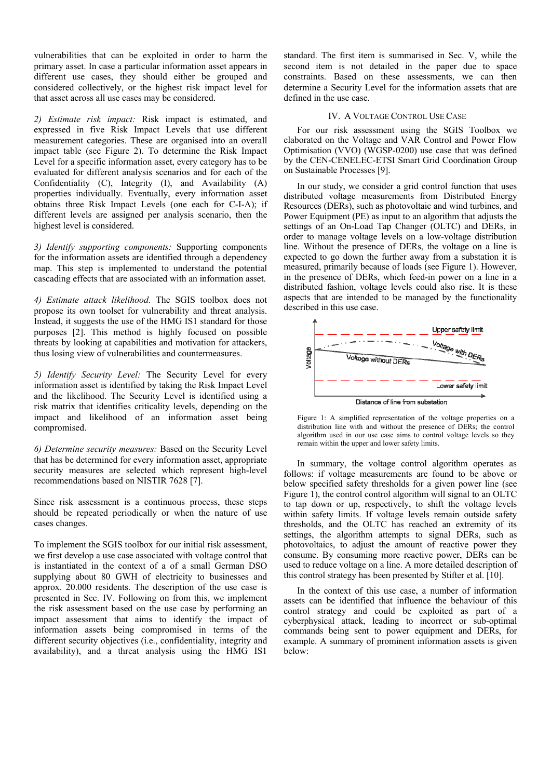vulnerabilities that can be exploited in order to harm the primary asset. In case a particular information asset appears in different use cases, they should either be grouped and considered collectively, or the highest risk impact level for that asset across all use cases may be considered.

*2) Estimate risk impact:* Risk impact is estimated, and expressed in five Risk Impact Levels that use different measurement categories. These are organised into an overall impact table (see Figure 2). To determine the Risk Impact Level for a specific information asset, every category has to be evaluated for different analysis scenarios and for each of the Confidentiality (C), Integrity (I), and Availability (A) properties individually. Eventually, every information asset obtains three Risk Impact Levels (one each for C-I-A); if different levels are assigned per analysis scenario, then the highest level is considered.

*3) Identify supporting components:* Supporting components for the information assets are identified through a dependency map. This step is implemented to understand the potential cascading effects that are associated with an information asset.

*4) Estimate attack likelihood.* The SGIS toolbox does not propose its own toolset for vulnerability and threat analysis. Instead, it suggests the use of the HMG IS1 standard for those purposes [2]. This method is highly focused on possible threats by looking at capabilities and motivation for attackers, thus losing view of vulnerabilities and countermeasures.

*5) Identify Security Level:* The Security Level for every information asset is identified by taking the Risk Impact Level and the likelihood. The Security Level is identified using a risk matrix that identifies criticality levels, depending on the impact and likelihood of an information asset being compromised.

*6) Determine security measures:* Based on the Security Level that has be determined for every information asset, appropriate security measures are selected which represent high-level recommendations based on NISTIR 7628 [7].

Since risk assessment is a continuous process, these steps should be repeated periodically or when the nature of use cases changes.

To implement the SGIS toolbox for our initial risk assessment, we first develop a use case associated with voltage control that is instantiated in the context of a of a small German DSO supplying about 80 GWH of electricity to businesses and approx. 20.000 residents. The description of the use case is presented in Sec. IV. Following on from this, we implement the risk assessment based on the use case by performing an impact assessment that aims to identify the impact of information assets being compromised in terms of the different security objectives (i.e., confidentiality, integrity and availability), and a threat analysis using the HMG IS1

standard. The first item is summarised in Sec. V, while the second item is not detailed in the paper due to space constraints. Based on these assessments, we can then determine a Security Level for the information assets that are defined in the use case.

#### IV. A VOLTAGE CONTROL USE CASE

For our risk assessment using the SGIS Toolbox we elaborated on the Voltage and VAR Control and Power Flow Optimisation (VVO) (WGSP-0200) use case that was defined by the CEN-CENELEC-ETSI Smart Grid Coordination Group on Sustainable Processes [9].

In our study, we consider a grid control function that uses distributed voltage measurements from Distributed Energy Resources (DERs), such as photovoltaic and wind turbines, and Power Equipment (PE) as input to an algorithm that adjusts the settings of an On-Load Tap Changer (OLTC) and DERs, in order to manage voltage levels on a low-voltage distribution line. Without the presence of DERs, the voltage on a line is expected to go down the further away from a substation it is measured, primarily because of loads (see Figure 1). However, in the presence of DERs, which feed-in power on a line in a distributed fashion, voltage levels could also rise. It is these aspects that are intended to be managed by the functionality described in this use case.





In summary, the voltage control algorithm operates as follows: if voltage measurements are found to be above or below specified safety thresholds for a given power line (see Figure 1), the control control algorithm will signal to an OLTC to tap down or up, respectively, to shift the voltage levels within safety limits. If voltage levels remain outside safety thresholds, and the OLTC has reached an extremity of its settings, the algorithm attempts to signal DERs, such as photovoltaics, to adjust the amount of reactive power they consume. By consuming more reactive power, DERs can be used to reduce voltage on a line. A more detailed description of this control strategy has been presented by Stifter et al. [10].

In the context of this use case, a number of information assets can be identified that influence the behaviour of this control strategy and could be exploited as part of a cyberphysical attack, leading to incorrect or sub-optimal commands being sent to power equipment and DERs, for example. A summary of prominent information assets is given below: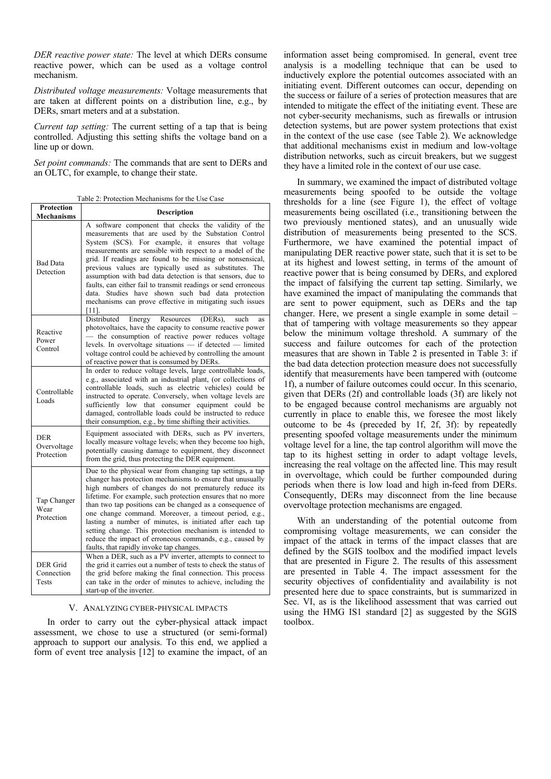*DER reactive power state:* The level at which DERs consume reactive power, which can be used as a voltage control mechanism.

*Distributed voltage measurements:* Voltage measurements that are taken at different points on a distribution line, e.g., by DERs, smart meters and at a substation.

*Current tap setting:* The current setting of a tap that is being controlled. Adjusting this setting shifts the voltage band on a line up or down.

*Set point commands:* The commands that are sent to DERs and an OLTC, for example, to change their state.

Table 2: Protection Mechanisms for the Use Case

| <b>Protection</b><br><b>Mechanisms</b>  | <b>Description</b>                                                                                                                                                                                                                                                                                                                                                                                                                                                                                                                                                                                              |
|-----------------------------------------|-----------------------------------------------------------------------------------------------------------------------------------------------------------------------------------------------------------------------------------------------------------------------------------------------------------------------------------------------------------------------------------------------------------------------------------------------------------------------------------------------------------------------------------------------------------------------------------------------------------------|
| <b>Bad Data</b><br>Detection            | A software component that checks the validity of the<br>measurements that are used by the Substation Control<br>System (SCS). For example, it ensures that voltage<br>measurements are sensible with respect to a model of the<br>grid. If readings are found to be missing or nonsensical,<br>previous values are typically used as substitutes. The<br>assumption with bad data detection is that sensors, due to<br>faults, can either fail to transmit readings or send erroneous<br>data. Studies have shown such bad data protection<br>mechanisms can prove effective in mitigating such issues<br>[11]. |
| Reactive<br>Power<br>Control            | Energy Resources<br>Distributed<br>$(DERs)$ .<br>such<br>as<br>photovoltaics, have the capacity to consume reactive power<br>- the consumption of reactive power reduces voltage<br>levels. In overvoltage situations - if detected - limited<br>voltage control could be achieved by controlling the amount<br>of reactive power that is consumed by DERs.                                                                                                                                                                                                                                                     |
| Controllable<br>Loads                   | In order to reduce voltage levels, large controllable loads,<br>e.g., associated with an industrial plant, (or collections of<br>controllable loads, such as electric vehicles) could be<br>instructed to operate. Conversely, when voltage levels are<br>sufficiently low that consumer equipment could be<br>damaged, controllable loads could be instructed to reduce<br>their consumption, e.g., by time shifting their activities.                                                                                                                                                                         |
| <b>DER</b><br>Overvoltage<br>Protection | Equipment associated with DERs, such as PV inverters,<br>locally measure voltage levels; when they become too high,<br>potentially causing damage to equipment, they disconnect<br>from the grid, thus protecting the DER equipment.                                                                                                                                                                                                                                                                                                                                                                            |
| Tap Changer<br>Wear<br>Protection       | Due to the physical wear from changing tap settings, a tap<br>changer has protection mechanisms to ensure that unusually<br>high numbers of changes do not prematurely reduce its<br>lifetime. For example, such protection ensures that no more<br>than two tap positions can be changed as a consequence of<br>one change command. Moreover, a timeout period, e.g.,<br>lasting a number of minutes, is initiated after each tap<br>setting change. This protection mechanism is intended to<br>reduce the impact of erroneous commands, e.g., caused by<br>faults, that rapidly invoke tap changes.          |
| <b>DER</b> Grid<br>Connection<br>Tests  | When a DER, such as a PV inverter, attempts to connect to<br>the grid it carries out a number of tests to check the status of<br>the grid before making the final connection. This process<br>can take in the order of minutes to achieve, including the<br>start-up of the inverter.                                                                                                                                                                                                                                                                                                                           |

# V. ANALYZING CYBER-PHYSICAL IMPACTS

In order to carry out the cyber-physical attack impact assessment, we chose to use a structured (or semi-formal) approach to support our analysis. To this end, we applied a form of event tree analysis [12] to examine the impact, of an information asset being compromised. In general, event tree analysis is a modelling technique that can be used to inductively explore the potential outcomes associated with an initiating event. Different outcomes can occur, depending on the success or failure of a series of protection measures that are intended to mitigate the effect of the initiating event. These are not cyber-security mechanisms, such as firewalls or intrusion detection systems, but are power system protections that exist in the context of the use case (see Table 2). We acknowledge that additional mechanisms exist in medium and low-voltage distribution networks, such as circuit breakers, but we suggest they have a limited role in the context of our use case.

In summary, we examined the impact of distributed voltage measurements being spoofed to be outside the voltage thresholds for a line (see Figure 1), the effect of voltage measurements being oscillated (i.e., transitioning between the two previously mentioned states), and an unusually wide distribution of measurements being presented to the SCS. Furthermore, we have examined the potential impact of manipulating DER reactive power state, such that it is set to be at its highest and lowest setting, in terms of the amount of reactive power that is being consumed by DERs, and explored the impact of falsifying the current tap setting. Similarly, we have examined the impact of manipulating the commands that are sent to power equipment, such as DERs and the tap changer. Here, we present a single example in some detail – that of tampering with voltage measurements so they appear below the minimum voltage threshold. A summary of the success and failure outcomes for each of the protection measures that are shown in Table 2 is presented in Table 3: if the bad data detection protection measure does not successfully identify that measurements have been tampered with (outcome 1f), a number of failure outcomes could occur. In this scenario, given that DERs (2f) and controllable loads (3f) are likely not to be engaged because control mechanisms are arguably not currently in place to enable this, we foresee the most likely outcome to be 4s (preceded by 1f, 2f, 3f): by repeatedly presenting spoofed voltage measurements under the minimum voltage level for a line, the tap control algorithm will move the tap to its highest setting in order to adapt voltage levels, increasing the real voltage on the affected line. This may result in overvoltage, which could be further compounded during periods when there is low load and high in-feed from DERs. Consequently, DERs may disconnect from the line because overvoltage protection mechanisms are engaged.

With an understanding of the potential outcome from compromising voltage measurements, we can consider the impact of the attack in terms of the impact classes that are defined by the SGIS toolbox and the modified impact levels that are presented in Figure 2. The results of this assessment are presented in Table 4. The impact assessment for the security objectives of confidentiality and availability is not presented here due to space constraints, but is summarized in Sec. VI, as is the likelihood assessment that was carried out using the HMG IS1 standard [2] as suggested by the SGIS toolbox.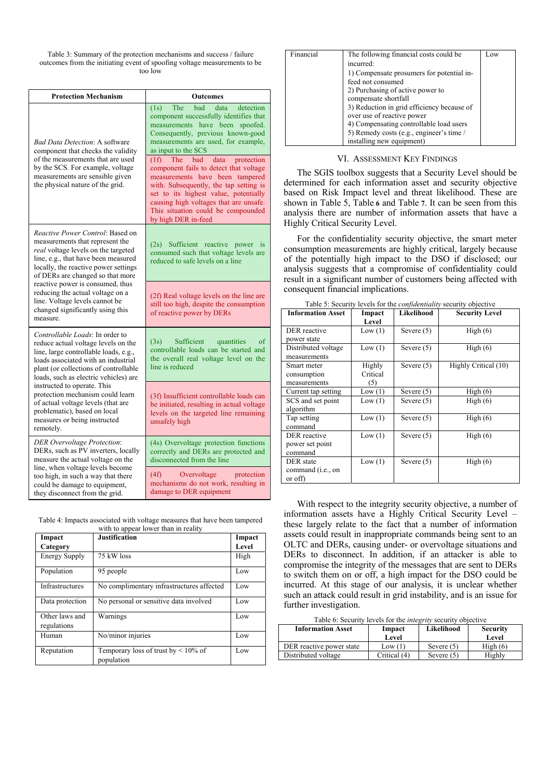Table 3: Summary of the protection mechanisms and success / failure outcomes from the initiating event of spoofing voltage measurements to be too low

| <b>Protection Mechanism</b>                                                                                                                                                                                                                          | <b>Outcomes</b>                                                                                                                                                                                                                                                                                                                                                                                                                                                                                                                         |
|------------------------------------------------------------------------------------------------------------------------------------------------------------------------------------------------------------------------------------------------------|-----------------------------------------------------------------------------------------------------------------------------------------------------------------------------------------------------------------------------------------------------------------------------------------------------------------------------------------------------------------------------------------------------------------------------------------------------------------------------------------------------------------------------------------|
| <b>Bad Data Detection: A software</b><br>component that checks the validity<br>of the measurements that are used<br>by the SCS. For example, voltage<br>measurements are sensible given<br>the physical nature of the grid.                          | The<br>bad<br>data<br>detection<br>(1s)<br>component successfully identifies that<br>measurements have been<br>spoofed.<br>Consequently, previous known-good<br>measurements are used, for example,<br>as input to the SCS<br>(1f)<br>The bad data<br>protection<br>component fails to detect that voltage<br>measurements have been tampered<br>with. Subsequently, the tap setting is<br>set to its highest value, potentially<br>causing high voltages that are unsafe.<br>This situation could be compounded<br>by high DER in-feed |
| Reactive Power Control: Based on<br>measurements that represent the<br>real voltage levels on the targeted<br>line, e.g., that have been measured<br>locally, the reactive power settings<br>of DERs are changed so that more                        | (2s)<br>Sufficient reactive<br>power is<br>consumed such that voltage levels are<br>reduced to safe levels on a line                                                                                                                                                                                                                                                                                                                                                                                                                    |
| reactive power is consumed, thus<br>reducing the actual voltage on a<br>line. Voltage levels cannot be<br>changed significantly using this<br>measure.                                                                                               | (2f) Real voltage levels on the line are<br>still too high, despite the consumption<br>of reactive power by DERs                                                                                                                                                                                                                                                                                                                                                                                                                        |
| Controllable Loads: In order to<br>reduce actual voltage levels on the<br>line, large controllable loads, e.g.,<br>loads associated with an industrial<br>plant (or collections of controllable<br>loads, such as electric vehicles) are             | (3s)<br>Sufficient<br>quantities<br>of<br>controllable loads can be started and<br>the overall real voltage level on the<br>line is reduced                                                                                                                                                                                                                                                                                                                                                                                             |
| instructed to operate. This<br>protection mechanism could learn<br>of actual voltage levels (that are<br>problematic), based on local<br>measures or being instructed<br>remotely.                                                                   | (3f) Insufficient controllable loads can<br>be initiated, resulting in actual voltage<br>levels on the targeted line remaining<br>unsafely high                                                                                                                                                                                                                                                                                                                                                                                         |
| DER Overvoltage Protection:<br>DERs, such as PV inverters, locally<br>measure the actual voltage on the<br>line, when voltage levels become<br>too high, in such a way that there<br>could be damage to equipment,<br>they disconnect from the grid. | (4s) Overvoltage protection functions<br>correctly and DERs are protected and<br>disconnected from the line<br>(4f)<br>Overvoltage<br>protection<br>mechanisms do not work, resulting in<br>damage to DER equipment                                                                                                                                                                                                                                                                                                                     |

Table 4: Impacts associated with voltage measures that have been tampered with to appear lower than in reality

| Impact                        | <b>Justification</b>                                    | Impact |
|-------------------------------|---------------------------------------------------------|--------|
| Category                      |                                                         | Level  |
| <b>Energy Supply</b>          | 75 kW loss                                              | High   |
| Population                    | 95 people                                               | Low    |
| <b>Infrastructures</b>        | No complimentary infrastructures affected               | Low    |
| Data protection               | No personal or sensitive data involved                  | Low    |
| Other laws and<br>regulations | Warnings                                                | Low    |
| Human                         | No/minor injuries                                       | Low    |
| Reputation                    | Temporary loss of trust by $\leq 10\%$ of<br>population | Low    |

| Financial | The following financial costs could be     | Low |
|-----------|--------------------------------------------|-----|
|           | incurred:                                  |     |
|           | 1) Compensate prosumers for potential in-  |     |
|           | feed not consumed                          |     |
|           | 2) Purchasing of active power to           |     |
|           | compensate shortfall                       |     |
|           | 3) Reduction in grid efficiency because of |     |
|           | over use of reactive power                 |     |
|           | 4) Compensating controllable load users    |     |
|           | 5) Remedy costs (e.g., engineer's time /   |     |
|           | installing new equipment)                  |     |

# VI. ASSESSMENT KEY FINDINGS

The SGIS toolbox suggests that a Security Level should be determined for each information asset and security objective based on Risk Impact level and threat likelihood. These are shown in Table 5, Table **6** and Table **7**. It can be seen from this analysis there are number of information assets that have a Highly Critical Security Level.

For the confidentiality security objective, the smart meter consumption measurements are highly critical, largely because of the potentially high impact to the DSO if disclosed; our analysis suggests that a compromise of confidentiality could result in a significant number of customers being affected with consequent financial implications.

| <b>Information Asset</b> | Impact   | Likelihood   | <b>Security Level</b> |
|--------------------------|----------|--------------|-----------------------|
|                          | Level    |              |                       |
| DER reactive             | Low(1)   | Severe (5)   | High $(6)$            |
| power state              |          |              |                       |
| Distributed voltage      | Low(1)   | Severe $(5)$ | High $(6)$            |
| measurements             |          |              |                       |
| Smart meter              | Highly   | Severe $(5)$ | Highly Critical (10)  |
| consumption              | Critical |              |                       |
| measurements             | (5)      |              |                       |
| Current tap setting      | Low(1)   | Severe $(5)$ | High $(6)$            |
| SCS and set point        | Low(1)   | Severe $(5)$ | High $(6)$            |
| algorithm                |          |              |                       |
| Tap setting              | Low(1)   | Severe $(5)$ | High $(6)$            |
| command                  |          |              |                       |
| DER reactive             | Low(1)   | Severe $(5)$ | High $(6)$            |
| power set point          |          |              |                       |
| command                  |          |              |                       |
| DER state                | Low(1)   | Severe $(5)$ | High $(6)$            |
| command (i.e., on        |          |              |                       |
| or off)                  |          |              |                       |

Table 5: Security levels for the *confidentiality* security objective

With respect to the integrity security objective, a number of information assets have a Highly Critical Security Level – these largely relate to the fact that a number of information assets could result in inappropriate commands being sent to an OLTC and DERs, causing under- or overvoltage situations and DERs to disconnect. In addition, if an attacker is able to compromise the integrity of the messages that are sent to DERs to switch them on or off, a high impact for the DSO could be incurred. At this stage of our analysis, it is unclear whether such an attack could result in grid instability, and is an issue for further investigation.

| Table 6: Security levels for the <i>integrity</i> security objective |  |  |
|----------------------------------------------------------------------|--|--|
|                                                                      |  |  |

| <b>Information Asset</b> | Impact<br>Level | Likelihood   | <b>Security</b><br>Level |
|--------------------------|-----------------|--------------|--------------------------|
| DER reactive power state | Low(1)          | Severe $(5)$ | High $(6)$               |
| Distributed voltage      | Critical (4)    | Severe $(5)$ | Highly                   |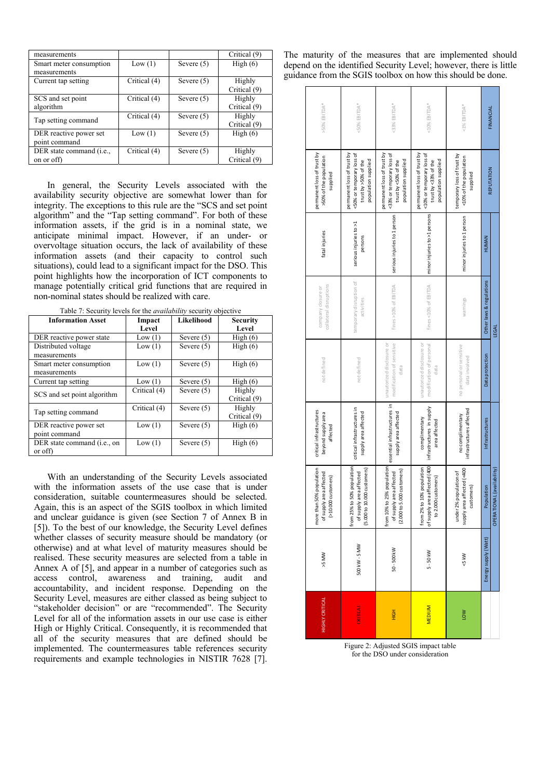| measurements                                    |              |              | Critical (9)           |
|-------------------------------------------------|--------------|--------------|------------------------|
| Smart meter consumption<br>measurements         | Low(1)       | Severe $(5)$ | High $(6)$             |
| Current tap setting                             | Critical (4) | Severe $(5)$ | Highly<br>Critical (9) |
| SCS and set point<br>algorithm                  | Critical (4) | Severe $(5)$ | Highly<br>Critical (9) |
| Tap setting command                             | Critical (4) | Severe $(5)$ | Highly<br>Critical (9) |
| DER reactive power set<br>point command         | Low(1)       | Severe $(5)$ | High $(6)$             |
| DER state command ( <i>i.e.</i> ,<br>on or off) | Critical (4) | Severe $(5)$ | Highly<br>Critical (9) |

In general, the Security Levels associated with the availability security objective are somewhat lower than for integrity. The exceptions to this rule are the "SCS and set point algorithm" and the "Tap setting command". For both of these information assets, if the grid is in a nominal state, we anticipate minimal impact. However, if an under- or overvoltage situation occurs, the lack of availability of these information assets (and their capacity to control such situations), could lead to a significant impact for the DSO. This point highlights how the incorporation of ICT components to manage potentially critical grid functions that are required in non-nominal states should be realized with care.

| Table 7: Security levels for the <i>availability</i> security objective |              |              |                        |
|-------------------------------------------------------------------------|--------------|--------------|------------------------|
| <b>Information Asset</b>                                                | Impact       | Likelihood   | <b>Security</b>        |
|                                                                         | Level        |              | Level                  |
| DER reactive power state                                                | Low $(1)$    | Severe $(5)$ | High $(6)$             |
| Distributed voltage<br>measurements                                     | Low(1)       | Severe $(5)$ | High $(6)$             |
| Smart meter consumption<br>measurements                                 | Low(1)       | Severe $(5)$ | High $(6)$             |
| Current tap setting                                                     | Low(1)       | Severe $(5)$ | High $(6)$             |
| SCS and set point algorithm                                             | Critical (4) | Severe $(5)$ | Highly<br>Critical (9) |
| Tap setting command                                                     | Critical (4) | Severe $(5)$ | Highly<br>Critical (9) |
| DER reactive power set<br>point command                                 | Low(1)       | Severe $(5)$ | High $(6)$             |
| DER state command ( <i>i.e.</i> , on<br>or off)                         | Low(1)       | Severe $(5)$ | High(6)                |

 With an understanding of the Security Levels associated with the information assets of the use case that is under consideration, suitable countermeasures should be selected. Again, this is an aspect of the SGIS toolbox in which limited and unclear guidance is given (see Section 7 of Annex B in [5]). To the best of our knowledge, the Security Level defines whether classes of security measure should be mandatory (or otherwise) and at what level of maturity measures should be realised. These security measures are selected from a table in Annex A of [5], and appear in a number of categories such as access control, awareness and training, audit and accountability, and incident response. Depending on the Security Level, measures are either classed as being subject to "stakeholder decision" or are "recommended". The Security Level for all of the information assets in our use case is either High or Highly Critical. Consequently, it is recommended that all of the security measures that are defined should be implemented. The countermeasures table references security requirements and example technologies in NISTIR 7628 [7].

The maturity of the measures that are implemented should depend on the identified Security Level; however, there is little guidance from the SGIS toolbox on how this should be done.

| <b>HIGHLY CRITICAL</b> | >5 MW                | more than 50% population<br>of supply area affected<br>(>10.000 customers)          | critical infrastructures<br>beyond supply area<br>affected  | not defined                                                    | collateral disruptions<br>company closure or | fatal injuries                    | permanent loss of trust by<br>>50% of the population<br>supplied                                       | $>50\%$ EBITDA*            |  |
|------------------------|----------------------|-------------------------------------------------------------------------------------|-------------------------------------------------------------|----------------------------------------------------------------|----------------------------------------------|-----------------------------------|--------------------------------------------------------------------------------------------------------|----------------------------|--|
| CRITICAL               | 500 kW - 5 MW        | rom 25% to 50% population<br>[5.000 to 10.000 customers]<br>of supply area affected | critical infrastructures in<br>supply area affected         | not defined                                                    | temporary disruption of<br>activities        | serious injuries to >1<br>persons | permanent loss of trust by<br><50% or temporary loss of<br>trust by >50% of the<br>population supplied | $50\%$ EBITDA <sup>*</sup> |  |
| H <sub>0H</sub>        | 50 - 500 kW          | rom 10% to 25% population<br>(2.000 to 5.000 customers)<br>of supply area affected  | essential infrastructures in<br>supply area affected        | unautorized disclosure or<br>modification of sensitive<br>data | fines >10% of EBITDA                         | serious injuries to 1 person      | permanent loss of trust by<br><33% or temporary loss of<br>population supplied<br>trust by <50% of the | $<$ 33% EBITDA*            |  |
| <b>MEDIUM</b>          | 5 - 50 kW            | of supply are a affected (400<br>from 2% to 10% population<br>to 2.000 customers)   | infrastructures in supply<br>complimentary<br>area affected | unautorized disclosure or<br>modification of personal<br>data  | fines <10% of EBITDA                         | minor injuries to >1 persons      | permanent loss of trust by<br><10% or temporary loss of<br>trust by <33% of the<br>population supplied | $<10\%$ EBITDA*            |  |
| <b>NOT</b>             | <5kW                 | supply area affected (<400<br>under 2% population of<br>customers)                  | infrastructures affected<br>no complimentary                | no personal or sensitive<br>data involved                      | warnings                                     | minor injuries to 1 person        | temporary loss of trust by<br><10% of the population<br>supplied                                       | $<1\%$ EBITDA*             |  |
|                        | Energy supply (Watt) | Population                                                                          | <b>Infrastructures</b>                                      | Data protection                                                | Other laws & regulations                     | HUMAN                             | REPUTATION                                                                                             | FINANCIAL                  |  |
|                        |                      | OPERATIONAL (availability)                                                          |                                                             |                                                                | <b>LEGAL</b>                                 |                                   |                                                                                                        |                            |  |

Figure 2: Adjusted SGIS impact table for the DSO under consideration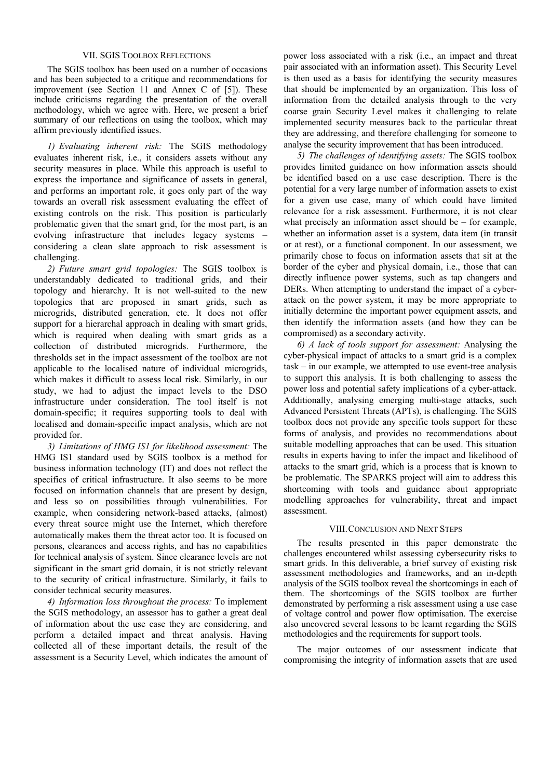# VII. SGIS TOOLBOX REFLECTIONS

The SGIS toolbox has been used on a number of occasions and has been subjected to a critique and recommendations for improvement (see Section 11 and Annex C of [5]). These include criticisms regarding the presentation of the overall methodology, which we agree with. Here, we present a brief summary of our reflections on using the toolbox, which may affirm previously identified issues.

*1) Evaluating inherent risk:* The SGIS methodology evaluates inherent risk, i.e., it considers assets without any security measures in place. While this approach is useful to express the importance and significance of assets in general, and performs an important role, it goes only part of the way towards an overall risk assessment evaluating the effect of existing controls on the risk. This position is particularly problematic given that the smart grid, for the most part, is an evolving infrastructure that includes legacy systems – considering a clean slate approach to risk assessment is challenging.

*2) Future smart grid topologies:* The SGIS toolbox is understandably dedicated to traditional grids, and their topology and hierarchy. It is not well-suited to the new topologies that are proposed in smart grids, such as microgrids, distributed generation, etc. It does not offer support for a hierarchal approach in dealing with smart grids, which is required when dealing with smart grids as a collection of distributed microgrids. Furthermore, the thresholds set in the impact assessment of the toolbox are not applicable to the localised nature of individual microgrids, which makes it difficult to assess local risk. Similarly, in our study, we had to adjust the impact levels to the DSO infrastructure under consideration. The tool itself is not domain-specific; it requires supporting tools to deal with localised and domain-specific impact analysis, which are not provided for.

*3) Limitations of HMG IS1 for likelihood assessment:* The HMG IS1 standard used by SGIS toolbox is a method for business information technology (IT) and does not reflect the specifics of critical infrastructure. It also seems to be more focused on information channels that are present by design, and less so on possibilities through vulnerabilities. For example, when considering network-based attacks, (almost) every threat source might use the Internet, which therefore automatically makes them the threat actor too. It is focused on persons, clearances and access rights, and has no capabilities for technical analysis of system. Since clearance levels are not significant in the smart grid domain, it is not strictly relevant to the security of critical infrastructure. Similarly, it fails to consider technical security measures.

*4) Information loss throughout the process:* To implement the SGIS methodology, an assessor has to gather a great deal of information about the use case they are considering, and perform a detailed impact and threat analysis. Having collected all of these important details, the result of the assessment is a Security Level, which indicates the amount of power loss associated with a risk (i.e., an impact and threat pair associated with an information asset). This Security Level is then used as a basis for identifying the security measures that should be implemented by an organization. This loss of information from the detailed analysis through to the very coarse grain Security Level makes it challenging to relate implemented security measures back to the particular threat they are addressing, and therefore challenging for someone to analyse the security improvement that has been introduced.

*5) The challenges of identifying assets:* The SGIS toolbox provides limited guidance on how information assets should be identified based on a use case description. There is the potential for a very large number of information assets to exist for a given use case, many of which could have limited relevance for a risk assessment. Furthermore, it is not clear what precisely an information asset should be – for example, whether an information asset is a system, data item (in transit or at rest), or a functional component. In our assessment, we primarily chose to focus on information assets that sit at the border of the cyber and physical domain, i.e., those that can directly influence power systems, such as tap changers and DERs. When attempting to understand the impact of a cyberattack on the power system, it may be more appropriate to initially determine the important power equipment assets, and then identify the information assets (and how they can be compromised) as a secondary activity.

*6) A lack of tools support for assessment:* Analysing the cyber-physical impact of attacks to a smart grid is a complex task – in our example, we attempted to use event-tree analysis to support this analysis. It is both challenging to assess the power loss and potential safety implications of a cyber-attack. Additionally, analysing emerging multi-stage attacks, such Advanced Persistent Threats (APTs), is challenging. The SGIS toolbox does not provide any specific tools support for these forms of analysis, and provides no recommendations about suitable modelling approaches that can be used. This situation results in experts having to infer the impact and likelihood of attacks to the smart grid, which is a process that is known to be problematic. The SPARKS project will aim to address this shortcoming with tools and guidance about appropriate modelling approaches for vulnerability, threat and impact assessment.

## VIII.CONCLUSION AND NEXT STEPS

The results presented in this paper demonstrate the challenges encountered whilst assessing cybersecurity risks to smart grids. In this deliverable, a brief survey of existing risk assessment methodologies and frameworks, and an in-depth analysis of the SGIS toolbox reveal the shortcomings in each of them. The shortcomings of the SGIS toolbox are further demonstrated by performing a risk assessment using a use case of voltage control and power flow optimisation. The exercise also uncovered several lessons to be learnt regarding the SGIS methodologies and the requirements for support tools.

The major outcomes of our assessment indicate that compromising the integrity of information assets that are used